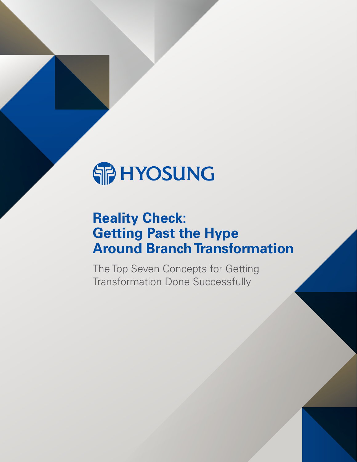

# **Reality Check: Getting Past the Hype Around Branch Transformation**

The Top Seven Concepts for Getting Transformation Done Successfully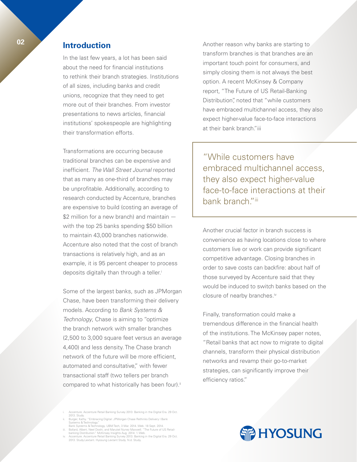# **<sup>02</sup> Introduction**

In the last few years, a lot has been said about the need for financial institutions to rethink their branch strategies. Institutions of all sizes, including banks and credit unions, recognize that they need to get more out of their branches. From investor presentations to news articles, financial institutions' spokespeople are highlighting their transformation efforts.

Transformations are occurring because traditional branches can be expensive and inefficient. *The Wall Street Journal* reported that as many as one-third of branches may be unprofitable. Additionally, according to research conducted by Accenture, branches are expensive to build (costing an average of \$2 million for a new branch) and maintain with the top 25 banks spending \$50 billion to maintain 43,000 branches nationwide. Accenture also noted that the cost of branch transactions is relatively high, and as an example, it is 95 percent cheaper to process deposits digitally than through a teller.<sup>i</sup>

Some of the largest banks, such as JPMorgan Chase, have been transforming their delivery models. According to *Bank Systems & Technology*, Chase is aiming to "optimize the branch network with smaller branches (2,500 to 3,000 square feet versus an average 4,400) and less density. The Chase branch network of the future will be more efficient, automated and consultative," with fewer transactional staff (two tellers per branch compared to what historically has been four).<sup>ii</sup>

- 
- i. Accenture. Accenture Retail Banking Survey 2013: Banking in the Digital Era. 29 Oct.<br>
ii. Burger, Kathy. "Embracing Digital: JPMorgan Chase Rethinks Delivery I Bank<br>
Systems & Technology,"<br>
Ean. Systems & Technology, UB
- 
- 

Another reason why banks are starting to transform branches is that branches are an important touch point for consumers, and simply closing them is not always the best option. A recent McKinsey & Company report, "The Future of US Retail-Banking Distribution", noted that "while customers have embraced multichannel access, they also expect higher-value face-to-face interactions at their bank branch."iii

"While customers have embraced multichannel access, they also expect higher-value face-to-face interactions at their bank branch."iii

Another crucial factor in branch success is convenience as having locations close to where customers live or work can provide significant competitive advantage. Closing branches in order to save costs can backfire: about half of those surveyed by Accenture said that they would be induced to switch banks based on the closure of nearby branches.<sup>iv</sup>

Finally, transformation could make a tremendous difference in the financial health of the institutions. The McKinsey paper notes, "Retail banks that act now to migrate to digital channels, transform their physical distribution networks and revamp their go-to-market strategies, can significantly improve their efficiency ratios."

**SIP HYOSUNG**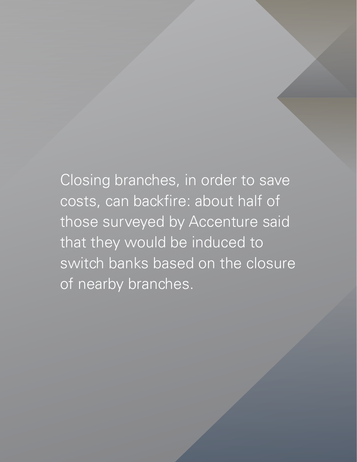Closing branches, in order to save costs, can backfire: about half of those surveyed by Accenture said that they would be induced to switch banks based on the closure of nearby branches.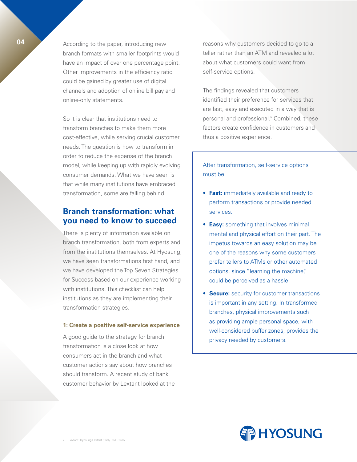**04** According to the paper, introducing new branch formats with smaller footprints would have an impact of over one percentage point. Other improvements in the efficiency ratio could be gained by greater use of digital channels and adoption of online bill pay and online-only statements.

> So it is clear that institutions need to transform branches to make them more cost-effective, while serving crucial customer needs. The question is how to transform in order to reduce the expense of the branch model, while keeping up with rapidly evolving consumer demands. What we have seen is that while many institutions have embraced transformation, some are falling behind.

# **Branch transformation: what you need to know to succeed**

There is plenty of information available on branch transformation, both from experts and from the institutions themselves. At Hyosung, we have seen transformations first hand, and we have developed the Top Seven Strategies for Success based on our experience working with institutions. This checklist can help institutions as they are implementing their transformation strategies.

#### **1: Create a positive self-service experience**

A good guide to the strategy for branch transformation is a close look at how consumers act in the branch and what customer actions say about how branches should transform. A recent study of bank customer behavior by Lextant looked at the reasons why customers decided to go to a teller rather than an ATM and revealed a lot about what customers could want from self-service options.

The findings revealed that customers identified their preference for services that are fast, easy and executed in a way that is personal and professional.<sup>v</sup> Combined, these factors create confidence in customers and thus a positive experience.

After transformation, self-service options must be:

- **Fast:** immediately available and ready to perform transactions or provide needed services.
- **Easy:** something that involves minimal mental and physical effort on their part. The impetus towards an easy solution may be one of the reasons why some customers prefer tellers to ATMs or other automated options, since "learning the machine," could be perceived as a hassle.
- **Secure:** security for customer transactions is important in any setting. In transformed branches, physical improvements such as providing ample personal space, with well-considered buffer zones, provides the privacy needed by customers.

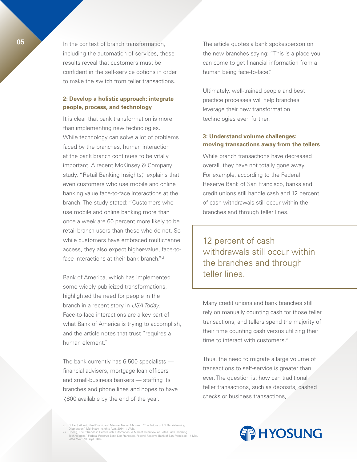**05** In the context of branch transformation, including the automation of services, these results reveal that customers must be confident in the self-service options in order to make the switch from teller transactions.

## **2: Develop a holistic approach: integrate people, process, and technology**

It is clear that bank transformation is more than implementing new technologies. While technology can solve a lot of problems faced by the branches, human interaction at the bank branch continues to be vitally important. A recent McKinsey & Company study, "Retail Banking Insights," explains that even customers who use mobile and online banking value face-to-face interactions at the branch. The study stated: "Customers who use mobile and online banking more than once a week are 60 percent more likely to be retail branch users than those who do not. So while customers have embraced multichannel access, they also expect higher-value, face-toface interactions at their bank branch."<sup>vi</sup>

Bank of America, which has implemented some widely publicized transformations, highlighted the need for people in the branch in a recent story in *USA Today*. Face-to-face interactions are a key part of what Bank of America is trying to accomplish, and the article notes that trust "requires a human element."

The bank currently has 6,500 specialists financial advisers, mortgage loan officers and small-business bankers — staffing its branches and phone lines and hopes to have 7,800 available by the end of the year.

The article quotes a bank spokesperson on the new branches saying: "This is a place you can come to get financial information from a human being face-to-face."

Ultimately, well-trained people and best practice processes will help branches leverage their new transformation technologies even further.

# **3: Understand volume challenges: moving transactions away from the tellers**

While branch transactions have decreased overall, they have not totally gone away. For example, according to the Federal Reserve Bank of San Francisco, banks and credit unions still handle cash and 12 percent of cash withdrawals still occur within the branches and through teller lines.

12 percent of cash withdrawals still occur within the branches and through teller lines.

Many credit unions and bank branches still rely on manually counting cash for those teller transactions, and tellers spend the majority of their time counting cash versus utilizing their time to interact with customers.<sup>vii</sup>

Thus, the need to migrate a large volume of transactions to self-service is greater than ever. The question is: how can traditional teller transactions, such as deposits, cashed checks or business transactions,

rd, Albert, Neel Doshi, and Marukel Nunez Maxwell. "The Future of US Retail-banking

Distribution." McKinsey Insights Aug. 2014: 1. Web.<br>vii. Cheng, Eric. "Trends in Retail Cash Automation: A Market Overview of Retail Cash Handling<br>Technologies: "Federal Reserve Bank San Francisco. Federal Reserve Bank o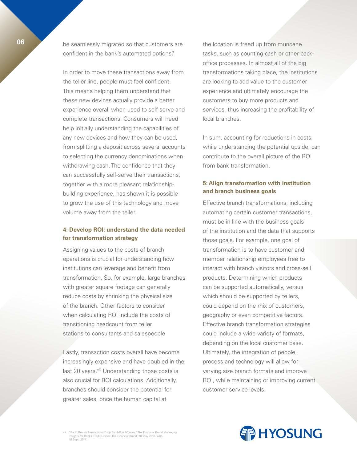**06** be seamlessly migrated so that customers are confident in the bank's automated options?

> In order to move these transactions away from the teller line, people must feel confident. This means helping them understand that these new devices actually provide a better experience overall when used to self-serve and complete transactions. Consumers will need help initially understanding the capabilities of any new devices and how they can be used, from splitting a deposit across several accounts to selecting the currency denominations when withdrawing cash. The confidence that they can successfully self-serve their transactions, together with a more pleasant relationshipbuilding experience, has shown it is possible to grow the use of this technology and move volume away from the teller.

# **4: Develop ROI: understand the data needed for transformation strategy**

Assigning values to the costs of branch operations is crucial for understanding how institutions can leverage and benefit from transformation. So, for example, large branches with greater square footage can generally reduce costs by shrinking the physical size of the branch. Other factors to consider when calculating ROI include the costs of transitioning headcount from teller stations to consultants and salespeople

Lastly, transaction costs overall have become increasingly expensive and have doubled in the last 20 years. Viii Understanding those costs is also crucial for ROI calculations. Additionally, branches should consider the potential for greater sales, once the human capital at

the location is freed up from mundane tasks, such as counting cash or other backoffice processes. In almost all of the big transformations taking place, the institutions are looking to add value to the customer experience and ultimately encourage the customers to buy more products and services, thus increasing the profitability of local branches.

In sum, accounting for reductions in costs, while understanding the potential upside, can contribute to the overall picture of the ROI from bank transformation.

# **5: Align transformation with institution and branch business goals**

Effective branch transformations, including automating certain customer transactions, must be in line with the business goals of the institution and the data that supports those goals. For example, one goal of transformation is to have customer and member relationship employees free to interact with branch visitors and cross-sell products. Determining which products can be supported automatically, versus which should be supported by tellers, could depend on the mix of customers, geography or even competitive factors. Effective branch transformation strategies could include a wide variety of formats, depending on the local customer base. Ultimately, the integration of people, process and technology will allow for varying size branch formats and improve ROI, while maintaining or improving current customer service levels.



viii. "Poof! Branch Transactions Drop By Half in 20 Years." The Financial Brand Marketing Insights for Banks Credit Unions. The Financial Brand, 28 May 2013. Web. 18 Sept. 2014.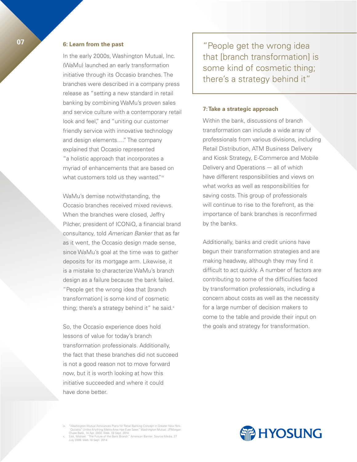# **07 6: Learn from the past**

In the early 2000s, Washington Mutual, Inc. (WaMu) launched an early transformation initiative through its Occasio branches. The branches were described in a company press release as "setting a new standard in retail banking by combining WaMu's proven sales and service culture with a contemporary retail look and feel," and "uniting our customer friendly service with innovative technology and design elements…." The company explained that Occasio represented "a holistic approach that incorporates a myriad of enhancements that are based on what customers told us they wanted."ix

WaMu's demise notwithstanding, the Occasio branches received mixed reviews. When the branches were closed, Jeffry Pilcher, president of ICONiQ, a financial brand consultancy, told *American Banker* that as far as it went, the Occasio design made sense, since WaMu's goal at the time was to gather deposits for its mortgage arm. Likewise, it is a mistake to characterize WaMu's branch design as a failure because the bank failed. "People get the wrong idea that [branch transformation] is some kind of cosmetic thing; there's a strategy behind it" he said. $x$ 

So, the Occasio experience does hold lessons of value for today's branch transformation professionals. Additionally, the fact that these branches did not succeed is not a good reason not to move forward now, but it is worth looking at how this initiative succeeded and where it could have done better.

"People get the wrong idea that [branch transformation] is some kind of cosmetic thing; there's a strategy behind it"

#### **7: Take a strategic approach**

Within the bank, discussions of branch transformation can include a wide array of professionals from various divisions, including Retail Distribution, ATM Business Delivery and Kiosk Strategy, E-Commerce and Mobile Delivery and Operations — all of which have different responsibilities and views on what works as well as responsibilities for saving costs. This group of professionals will continue to rise to the forefront, as the importance of bank branches is reconfirmed by the banks.

Additionally, banks and credit unions have begun their transformation strategies and are making headway, although they may find it difficult to act quickly. A number of factors are contributing to some of the difficulties faced by transformation professionals, including a concern about costs as well as the necessity for a large number of decision makers to come to the table and provide their input on the goals and strategy for transformation.

ix. "Washington Mutual Announces Plans for Retail Banking Concept in Greater New York;<br>"Occasio" Unlike Anything Metro Area Has Ever Seen." Washington Mutual. JPMorgan<br>Chase Bank, 14 Apr. 2002. Web. 18 Sept. 2014.<br>Kisk, Mi

July 2009. Web.18 Sept. 2014.